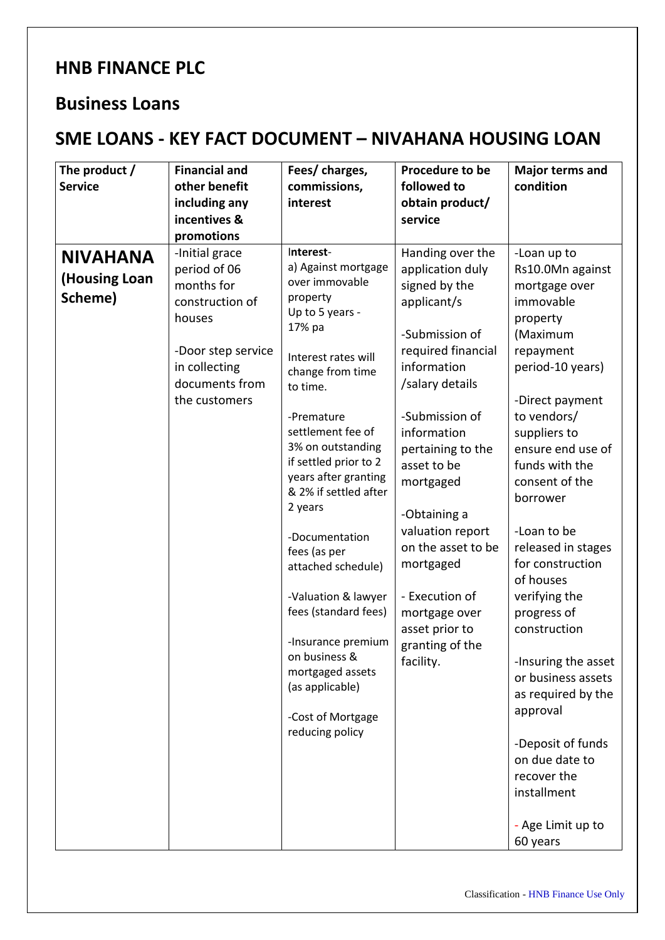## **HNB FINANCE PLC**

## **Business Loans**

## **SME LOANS - KEY FACT DOCUMENT – NIVAHANA HOUSING LOAN**

| The product /        | <b>Financial and</b> | Fees/ charges,                         | Procedure to be                  | Major terms and            |
|----------------------|----------------------|----------------------------------------|----------------------------------|----------------------------|
| <b>Service</b>       | other benefit        | commissions,                           | followed to                      | condition                  |
|                      | including any        | interest                               | obtain product/                  |                            |
|                      | incentives &         |                                        | service                          |                            |
|                      | promotions           |                                        |                                  |                            |
| <b>NIVAHANA</b>      | -Initial grace       | Interest-                              | Handing over the                 | -Loan up to                |
|                      | period of 06         | a) Against mortgage                    | application duly                 | Rs10.0Mn against           |
| <b>(Housing Loan</b> | months for           | over immovable                         | signed by the                    | mortgage over              |
| Scheme)              | construction of      | property<br>Up to 5 years -            | applicant/s                      | immovable                  |
|                      | houses               | 17% pa                                 |                                  | property                   |
|                      |                      |                                        | -Submission of                   | (Maximum                   |
|                      | -Door step service   | Interest rates will                    | required financial               | repayment                  |
|                      | in collecting        | change from time                       | information                      | period-10 years)           |
|                      | documents from       | to time.                               | /salary details                  |                            |
|                      | the customers        |                                        |                                  | -Direct payment            |
|                      |                      | -Premature                             | -Submission of                   | to vendors/                |
|                      |                      | settlement fee of<br>3% on outstanding | information                      | suppliers to               |
|                      |                      | if settled prior to 2                  | pertaining to the                | ensure end use of          |
|                      |                      | years after granting                   | asset to be                      | funds with the             |
|                      |                      | & 2% if settled after                  | mortgaged                        | consent of the<br>borrower |
|                      |                      | 2 years                                |                                  |                            |
|                      |                      |                                        | -Obtaining a<br>valuation report | -Loan to be                |
|                      |                      | -Documentation                         | on the asset to be               | released in stages         |
|                      |                      | fees (as per                           | mortgaged                        | for construction           |
|                      |                      | attached schedule)                     |                                  | of houses                  |
|                      |                      | -Valuation & lawyer                    | - Execution of                   | verifying the              |
|                      |                      | fees (standard fees)                   | mortgage over                    | progress of                |
|                      |                      |                                        | asset prior to                   | construction               |
|                      |                      | -Insurance premium                     | granting of the                  |                            |
|                      |                      | on business &                          | facility.                        | -Insuring the asset        |
|                      |                      | mortgaged assets                       |                                  | or business assets         |
|                      |                      | (as applicable)                        |                                  | as required by the         |
|                      |                      | -Cost of Mortgage                      |                                  | approval                   |
|                      |                      | reducing policy                        |                                  |                            |
|                      |                      |                                        |                                  | -Deposit of funds          |
|                      |                      |                                        |                                  | on due date to             |
|                      |                      |                                        |                                  | recover the                |
|                      |                      |                                        |                                  | installment                |
|                      |                      |                                        |                                  |                            |
|                      |                      |                                        |                                  | - Age Limit up to          |
|                      |                      |                                        |                                  | 60 years                   |